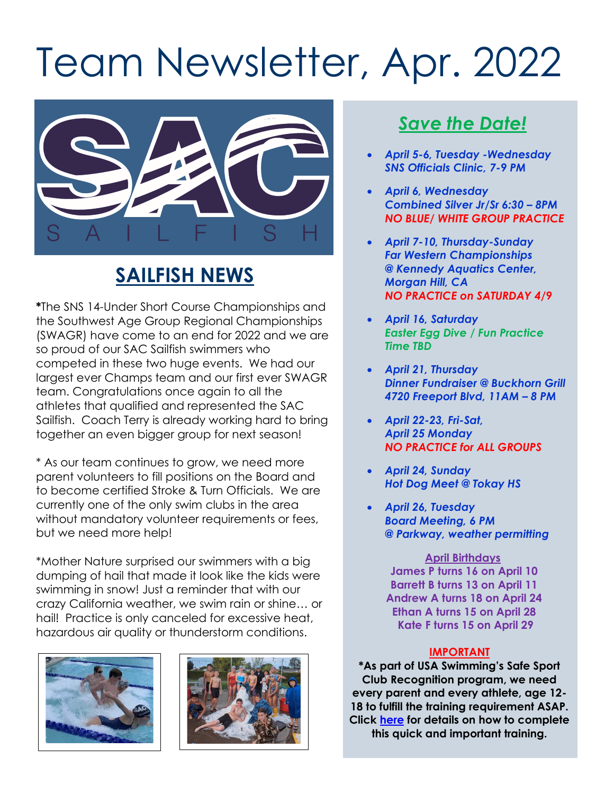# Team Newsletter, Apr. 2022



## **SAILFISH NEWS**

**\***The SNS 14-Under Short Course Championships and the Southwest Age Group Regional Championships (SWAGR) have come to an end for 2022 and we are so proud of our SAC Sailfish swimmers who competed in these two huge events. We had our largest ever Champs team and our first ever SWAGR team. Congratulations once again to all the athletes that qualified and represented the SAC Sailfish. Coach Terry is already working hard to bring together an even bigger group for next season!

\* As our team continues to grow, we need more parent volunteers to fill positions on the Board and to become certified Stroke & Turn Officials. We are currently one of the only swim clubs in the area without mandatory volunteer requirements or fees, but we need more help!

\*Mother Nature surprised our swimmers with a big dumping of hail that made it look like the kids were swimming in snow! Just a reminder that with our crazy California weather, we swim rain or shine… or hail! Practice is only canceled for excessive heat, hazardous air quality or thunderstorm conditions.





### *Save the Date!*

- *April 5-6, Tuesday -Wednesday SNS Officials Clinic, 7-9 PM*
- *April 6, Wednesday Combined Silver Jr/Sr 6:30 – 8PM NO BLUE/ WHITE GROUP PRACTICE*
- *April 7-10, Thursday-Sunday Far Western Championships @ Kennedy Aquatics Center, Morgan Hill, CA NO PRACTICE on SATURDAY 4/9*
- *April 16, Saturday Easter Egg Dive / Fun Practice Time TBD*
- *April 21, Thursday Dinner Fundraiser @ Buckhorn Grill 4720 Freeport Blvd, 11AM – 8 PM*
- *April 22-23, Fri-Sat, April 25 Monday NO PRACTICE for ALL GROUPS*
- *April 24, Sunday Hot Dog Meet @ Tokay HS*
- *April 26, Tuesday Board Meeting, 6 PM @ Parkway, weather permitting*

**April Birthdays James P turns 16 on April 10 Barrett B turns 13 on April 11 Andrew A turns 18 on April 24 Ethan A turns 15 on April 28 Kate F turns 15 on April 29**

#### **IMPORTANT**

**\*As part of USA Swimming's Safe Sport Club Recognition program, we need every parent and every athlete, age 12- 18 to fulfill the training requirement ASAP. Click [here](https://www.usaswimming.org/safe-sport/ssrp-training-resources) for details on how to complete this quick and important training.**